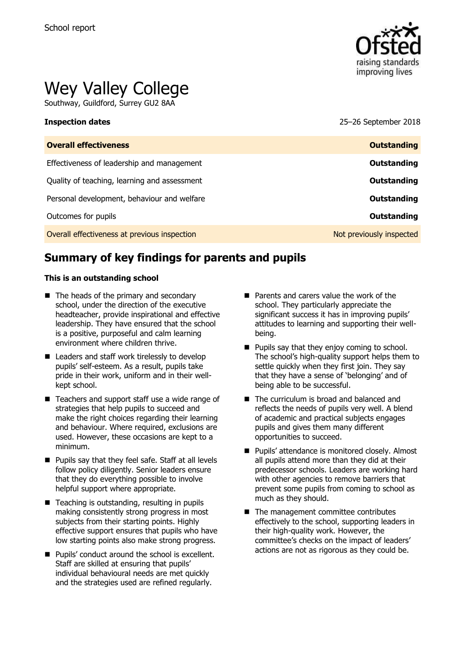

# Wey Valley College

Southway, Guildford, Surrey GU2 8AA

### **Inspection dates** 25–26 September 2018

| <b>Overall effectiveness</b>                 | <b>Outstanding</b>       |
|----------------------------------------------|--------------------------|
| Effectiveness of leadership and management   | Outstanding              |
| Quality of teaching, learning and assessment | Outstanding              |
| Personal development, behaviour and welfare  | Outstanding              |
| Outcomes for pupils                          | Outstanding              |
| Overall effectiveness at previous inspection | Not previously inspected |

# **Summary of key findings for parents and pupils**

### **This is an outstanding school**

- The heads of the primary and secondary school, under the direction of the executive headteacher, provide inspirational and effective leadership. They have ensured that the school is a positive, purposeful and calm learning environment where children thrive.
- Leaders and staff work tirelessly to develop pupils' self-esteem. As a result, pupils take pride in their work, uniform and in their wellkept school.
- Teachers and support staff use a wide range of strategies that help pupils to succeed and make the right choices regarding their learning and behaviour. Where required, exclusions are used. However, these occasions are kept to a minimum.
- **Pupils say that they feel safe. Staff at all levels** follow policy diligently. Senior leaders ensure that they do everything possible to involve helpful support where appropriate.
- $\blacksquare$  Teaching is outstanding, resulting in pupils making consistently strong progress in most subjects from their starting points. Highly effective support ensures that pupils who have low starting points also make strong progress.
- Pupils' conduct around the school is excellent. Staff are skilled at ensuring that pupils' individual behavioural needs are met quickly and the strategies used are refined regularly.
- **Parents and carers value the work of the** school. They particularly appreciate the significant success it has in improving pupils' attitudes to learning and supporting their wellbeing.
- **Pupils say that they enjoy coming to school.** The school's high-quality support helps them to settle quickly when they first join. They say that they have a sense of 'belonging' and of being able to be successful.
- The curriculum is broad and balanced and reflects the needs of pupils very well. A blend of academic and practical subjects engages pupils and gives them many different opportunities to succeed.
- **Pupils' attendance is monitored closely. Almost** all pupils attend more than they did at their predecessor schools. Leaders are working hard with other agencies to remove barriers that prevent some pupils from coming to school as much as they should.
- The management committee contributes effectively to the school, supporting leaders in their high-quality work. However, the committee's checks on the impact of leaders' actions are not as rigorous as they could be.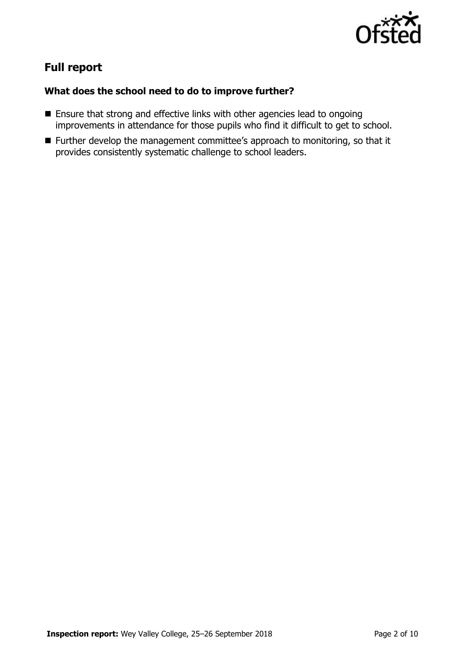

# **Full report**

### **What does the school need to do to improve further?**

- **Ensure that strong and effective links with other agencies lead to ongoing** improvements in attendance for those pupils who find it difficult to get to school.
- Further develop the management committee's approach to monitoring, so that it provides consistently systematic challenge to school leaders.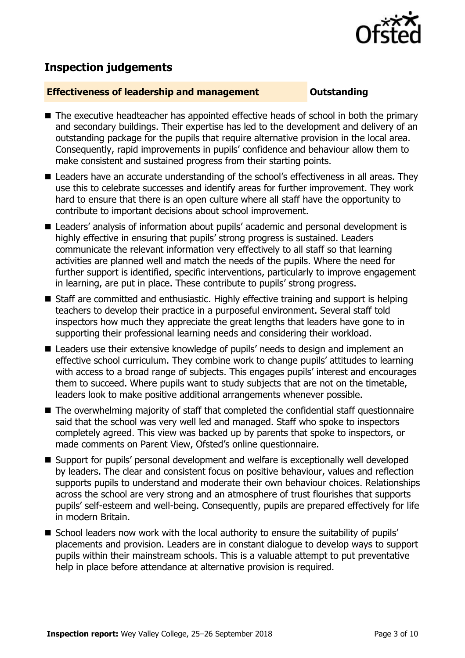

# **Inspection judgements**

### **Effectiveness of leadership and management Constanding**

- The executive headteacher has appointed effective heads of school in both the primary and secondary buildings. Their expertise has led to the development and delivery of an outstanding package for the pupils that require alternative provision in the local area. Consequently, rapid improvements in pupils' confidence and behaviour allow them to make consistent and sustained progress from their starting points.
- Leaders have an accurate understanding of the school's effectiveness in all areas. They use this to celebrate successes and identify areas for further improvement. They work hard to ensure that there is an open culture where all staff have the opportunity to contribute to important decisions about school improvement.
- Leaders' analysis of information about pupils' academic and personal development is highly effective in ensuring that pupils' strong progress is sustained. Leaders communicate the relevant information very effectively to all staff so that learning activities are planned well and match the needs of the pupils. Where the need for further support is identified, specific interventions, particularly to improve engagement in learning, are put in place. These contribute to pupils' strong progress.
- Staff are committed and enthusiastic. Highly effective training and support is helping teachers to develop their practice in a purposeful environment. Several staff told inspectors how much they appreciate the great lengths that leaders have gone to in supporting their professional learning needs and considering their workload.
- Leaders use their extensive knowledge of pupils' needs to design and implement an effective school curriculum. They combine work to change pupils' attitudes to learning with access to a broad range of subjects. This engages pupils' interest and encourages them to succeed. Where pupils want to study subjects that are not on the timetable, leaders look to make positive additional arrangements whenever possible.
- The overwhelming majority of staff that completed the confidential staff questionnaire said that the school was very well led and managed. Staff who spoke to inspectors completely agreed. This view was backed up by parents that spoke to inspectors, or made comments on Parent View, Ofsted's online questionnaire.
- Support for pupils' personal development and welfare is exceptionally well developed by leaders. The clear and consistent focus on positive behaviour, values and reflection supports pupils to understand and moderate their own behaviour choices. Relationships across the school are very strong and an atmosphere of trust flourishes that supports pupils' self-esteem and well-being. Consequently, pupils are prepared effectively for life in modern Britain.
- School leaders now work with the local authority to ensure the suitability of pupils' placements and provision. Leaders are in constant dialogue to develop ways to support pupils within their mainstream schools. This is a valuable attempt to put preventative help in place before attendance at alternative provision is required.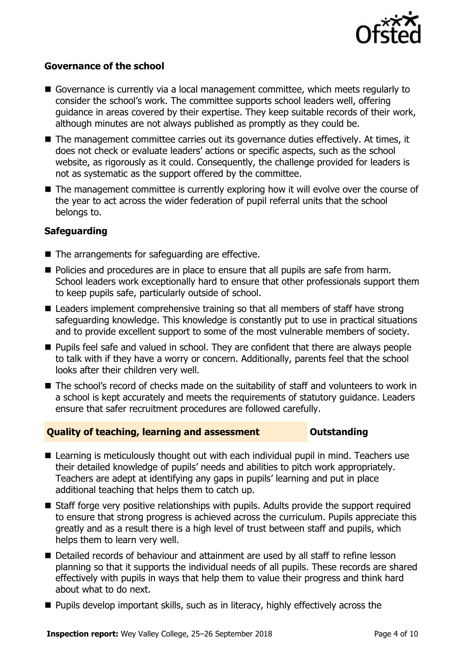

### **Governance of the school**

- Governance is currently via a local management committee, which meets regularly to consider the school's work. The committee supports school leaders well, offering guidance in areas covered by their expertise. They keep suitable records of their work, although minutes are not always published as promptly as they could be.
- The management committee carries out its governance duties effectively. At times, it does not check or evaluate leaders' actions or specific aspects, such as the school website, as rigorously as it could. Consequently, the challenge provided for leaders is not as systematic as the support offered by the committee.
- The management committee is currently exploring how it will evolve over the course of the year to act across the wider federation of pupil referral units that the school belongs to.

### **Safeguarding**

- The arrangements for safeguarding are effective.
- Policies and procedures are in place to ensure that all pupils are safe from harm. School leaders work exceptionally hard to ensure that other professionals support them to keep pupils safe, particularly outside of school.
- Leaders implement comprehensive training so that all members of staff have strong safeguarding knowledge. This knowledge is constantly put to use in practical situations and to provide excellent support to some of the most vulnerable members of society.
- **Pupils feel safe and valued in school. They are confident that there are always people** to talk with if they have a worry or concern. Additionally, parents feel that the school looks after their children very well.
- The school's record of checks made on the suitability of staff and volunteers to work in a school is kept accurately and meets the requirements of statutory guidance. Leaders ensure that safer recruitment procedures are followed carefully.

### **Quality of teaching, learning and assessment Outstanding**

- Learning is meticulously thought out with each individual pupil in mind. Teachers use their detailed knowledge of pupils' needs and abilities to pitch work appropriately. Teachers are adept at identifying any gaps in pupils' learning and put in place additional teaching that helps them to catch up.
- Staff forge very positive relationships with pupils. Adults provide the support required to ensure that strong progress is achieved across the curriculum. Pupils appreciate this greatly and as a result there is a high level of trust between staff and pupils, which helps them to learn very well.
- Detailed records of behaviour and attainment are used by all staff to refine lesson planning so that it supports the individual needs of all pupils. These records are shared effectively with pupils in ways that help them to value their progress and think hard about what to do next.
- $\blacksquare$  Pupils develop important skills, such as in literacy, highly effectively across the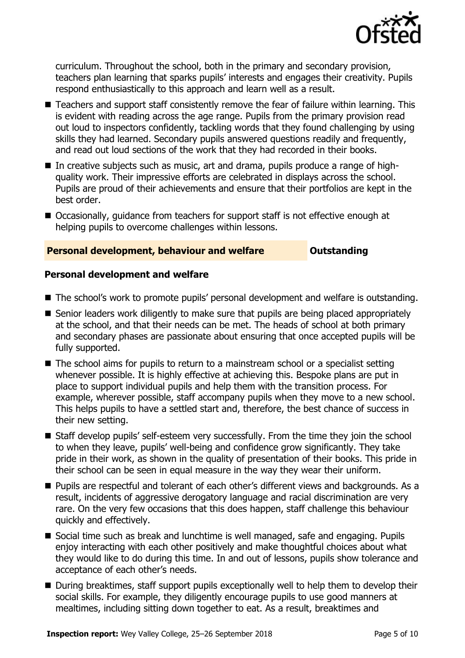

curriculum. Throughout the school, both in the primary and secondary provision, teachers plan learning that sparks pupils' interests and engages their creativity. Pupils respond enthusiastically to this approach and learn well as a result.

- Teachers and support staff consistently remove the fear of failure within learning. This is evident with reading across the age range. Pupils from the primary provision read out loud to inspectors confidently, tackling words that they found challenging by using skills they had learned. Secondary pupils answered questions readily and frequently, and read out loud sections of the work that they had recorded in their books.
- In creative subjects such as music, art and drama, pupils produce a range of highquality work. Their impressive efforts are celebrated in displays across the school. Pupils are proud of their achievements and ensure that their portfolios are kept in the best order.
- Occasionally, quidance from teachers for support staff is not effective enough at helping pupils to overcome challenges within lessons.

### **Personal development, behaviour and welfare <b>COUTS** Outstanding

### **Personal development and welfare**

- The school's work to promote pupils' personal development and welfare is outstanding.
- Senior leaders work diligently to make sure that pupils are being placed appropriately at the school, and that their needs can be met. The heads of school at both primary and secondary phases are passionate about ensuring that once accepted pupils will be fully supported.
- The school aims for pupils to return to a mainstream school or a specialist setting whenever possible. It is highly effective at achieving this. Bespoke plans are put in place to support individual pupils and help them with the transition process. For example, wherever possible, staff accompany pupils when they move to a new school. This helps pupils to have a settled start and, therefore, the best chance of success in their new setting.
- Staff develop pupils' self-esteem very successfully. From the time they join the school to when they leave, pupils' well-being and confidence grow significantly. They take pride in their work, as shown in the quality of presentation of their books. This pride in their school can be seen in equal measure in the way they wear their uniform.
- **Pupils are respectful and tolerant of each other's different views and backgrounds. As a** result, incidents of aggressive derogatory language and racial discrimination are very rare. On the very few occasions that this does happen, staff challenge this behaviour quickly and effectively.
- Social time such as break and lunchtime is well managed, safe and engaging. Pupils enjoy interacting with each other positively and make thoughtful choices about what they would like to do during this time. In and out of lessons, pupils show tolerance and acceptance of each other's needs.
- During breaktimes, staff support pupils exceptionally well to help them to develop their social skills. For example, they diligently encourage pupils to use good manners at mealtimes, including sitting down together to eat. As a result, breaktimes and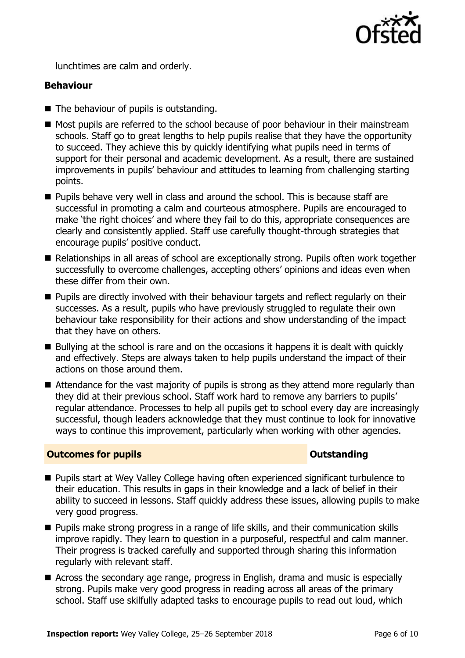

lunchtimes are calm and orderly.

### **Behaviour**

- The behaviour of pupils is outstanding.
- Most pupils are referred to the school because of poor behaviour in their mainstream schools. Staff go to great lengths to help pupils realise that they have the opportunity to succeed. They achieve this by quickly identifying what pupils need in terms of support for their personal and academic development. As a result, there are sustained improvements in pupils' behaviour and attitudes to learning from challenging starting points.
- **Pupils behave very well in class and around the school. This is because staff are** successful in promoting a calm and courteous atmosphere. Pupils are encouraged to make 'the right choices' and where they fail to do this, appropriate consequences are clearly and consistently applied. Staff use carefully thought-through strategies that encourage pupils' positive conduct.
- Relationships in all areas of school are exceptionally strong. Pupils often work together successfully to overcome challenges, accepting others' opinions and ideas even when these differ from their own.
- **Pupils are directly involved with their behaviour targets and reflect regularly on their** successes. As a result, pupils who have previously struggled to regulate their own behaviour take responsibility for their actions and show understanding of the impact that they have on others.
- Bullying at the school is rare and on the occasions it happens it is dealt with quickly and effectively. Steps are always taken to help pupils understand the impact of their actions on those around them.
- Attendance for the vast majority of pupils is strong as they attend more regularly than they did at their previous school. Staff work hard to remove any barriers to pupils' regular attendance. Processes to help all pupils get to school every day are increasingly successful, though leaders acknowledge that they must continue to look for innovative ways to continue this improvement, particularly when working with other agencies.

### **Outcomes for pupils Outstanding**

- Pupils start at Wey Valley College having often experienced significant turbulence to their education. This results in gaps in their knowledge and a lack of belief in their ability to succeed in lessons. Staff quickly address these issues, allowing pupils to make very good progress.
- **Pupils make strong progress in a range of life skills, and their communication skills** improve rapidly. They learn to question in a purposeful, respectful and calm manner. Their progress is tracked carefully and supported through sharing this information regularly with relevant staff.
- Across the secondary age range, progress in English, drama and music is especially strong. Pupils make very good progress in reading across all areas of the primary school. Staff use skilfully adapted tasks to encourage pupils to read out loud, which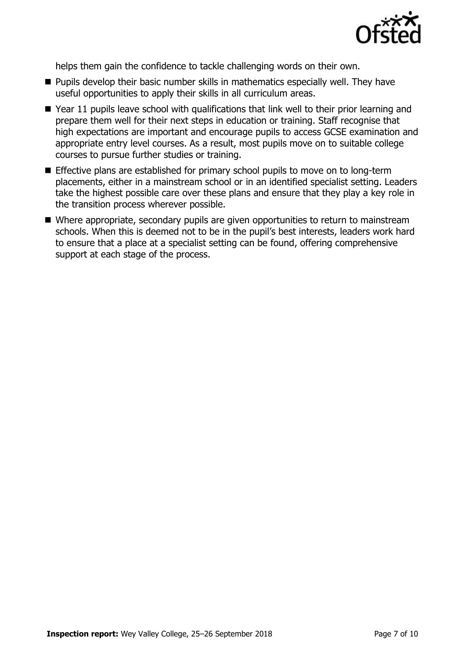

helps them gain the confidence to tackle challenging words on their own.

- **Pupils develop their basic number skills in mathematics especially well. They have** useful opportunities to apply their skills in all curriculum areas.
- Year 11 pupils leave school with qualifications that link well to their prior learning and prepare them well for their next steps in education or training. Staff recognise that high expectations are important and encourage pupils to access GCSE examination and appropriate entry level courses. As a result, most pupils move on to suitable college courses to pursue further studies or training.
- **Effective plans are established for primary school pupils to move on to long-term** placements, either in a mainstream school or in an identified specialist setting. Leaders take the highest possible care over these plans and ensure that they play a key role in the transition process wherever possible.
- Where appropriate, secondary pupils are given opportunities to return to mainstream schools. When this is deemed not to be in the pupil's best interests, leaders work hard to ensure that a place at a specialist setting can be found, offering comprehensive support at each stage of the process.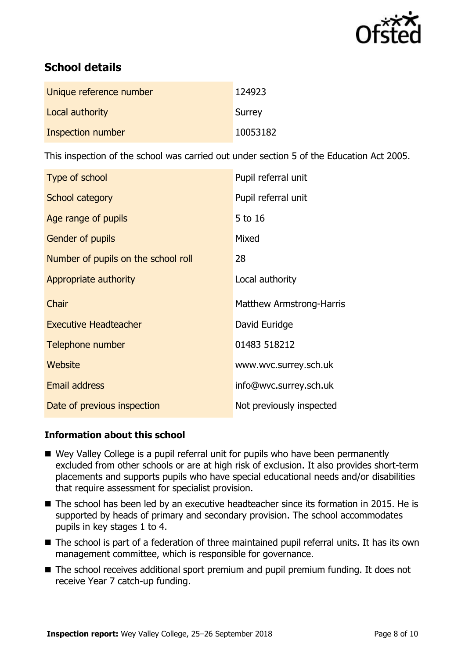

# **School details**

| Unique reference number | 124923   |
|-------------------------|----------|
| Local authority         | Surrey   |
| Inspection number       | 10053182 |

This inspection of the school was carried out under section 5 of the Education Act 2005.

| Type of school                      | Pupil referral unit             |
|-------------------------------------|---------------------------------|
| School category                     | Pupil referral unit             |
| Age range of pupils                 | 5 to 16                         |
| Gender of pupils                    | Mixed                           |
| Number of pupils on the school roll | 28                              |
| Appropriate authority               | Local authority                 |
| Chair                               | <b>Matthew Armstrong-Harris</b> |
| <b>Executive Headteacher</b>        | David Euridge                   |
| Telephone number                    | 01483 518212                    |
| Website                             | www.wvc.surrey.sch.uk           |
| <b>Email address</b>                | info@wvc.surrey.sch.uk          |
| Date of previous inspection         | Not previously inspected        |

### **Information about this school**

- Wey Valley College is a pupil referral unit for pupils who have been permanently excluded from other schools or are at high risk of exclusion. It also provides short-term placements and supports pupils who have special educational needs and/or disabilities that require assessment for specialist provision.
- The school has been led by an executive headteacher since its formation in 2015. He is supported by heads of primary and secondary provision. The school accommodates pupils in key stages 1 to 4.
- The school is part of a federation of three maintained pupil referral units. It has its own management committee, which is responsible for governance.
- The school receives additional sport premium and pupil premium funding. It does not receive Year 7 catch-up funding.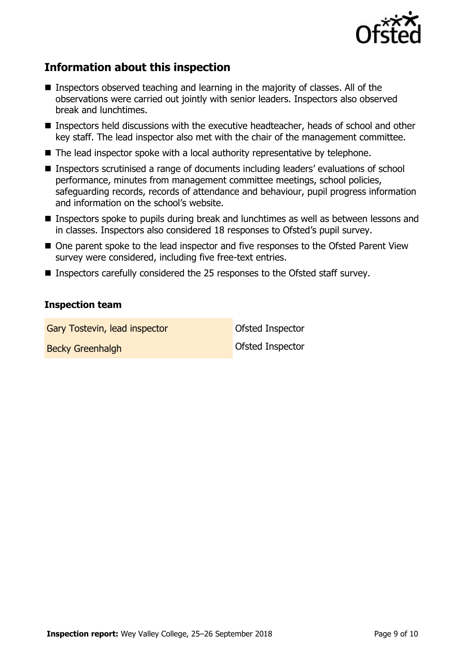

# **Information about this inspection**

- **Inspectors observed teaching and learning in the majority of classes. All of the** observations were carried out jointly with senior leaders. Inspectors also observed break and lunchtimes.
- Inspectors held discussions with the executive headteacher, heads of school and other key staff. The lead inspector also met with the chair of the management committee.
- The lead inspector spoke with a local authority representative by telephone.
- Inspectors scrutinised a range of documents including leaders' evaluations of school performance, minutes from management committee meetings, school policies, safeguarding records, records of attendance and behaviour, pupil progress information and information on the school's website.
- Inspectors spoke to pupils during break and lunchtimes as well as between lessons and in classes. Inspectors also considered 18 responses to Ofsted's pupil survey.
- One parent spoke to the lead inspector and five responses to the Ofsted Parent View survey were considered, including five free-text entries.
- Inspectors carefully considered the 25 responses to the Ofsted staff survey.

### **Inspection team**

Gary Tostevin, lead inspector **Cary Constanting Constant** Ofsted Inspector

Becky Greenhalgh **Becky Greenhalgh Becky** Greenhalgh **Ofsted Inspector**